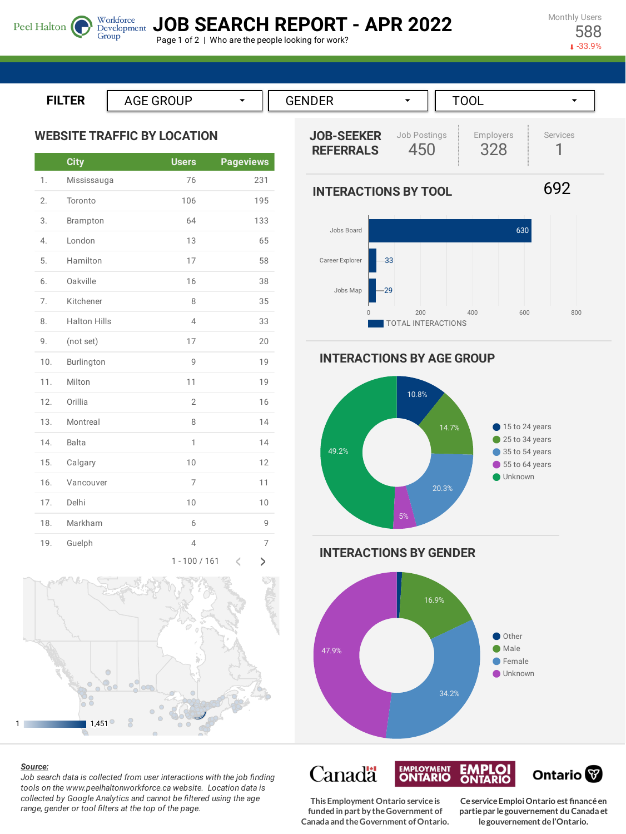Monthly Users 588

-33.9%



Page 1 of 2 | Who are the people looking for work?

**ILTER**

Peel Halton

**WEBSITE TRAFFIC BY LOCATION**

Group

|                  | <b>City</b>         | <b>Users</b>   | <b>Pageviews</b>   |
|------------------|---------------------|----------------|--------------------|
| 1.               | Mississauga         | 76             | 231                |
| 2.               | Toronto             | 106            | 195                |
| 3.               | Brampton            | 64             | 133                |
| $\overline{4}$ . | London              | 13             | 65                 |
| 5.               | Hamilton            | 17             | 58                 |
| 6.               | Oakville            | 16             | 38                 |
| 7.               | Kitchener           | 8              | 35                 |
| 8.               | <b>Halton Hills</b> | $\overline{4}$ | 33                 |
| 9.               | (not set)           | 17             | 20                 |
| 10.              | Burlington          | 9              | 19                 |
| 11.              | Milton              | 11             | 19                 |
| 12.              | Orillia             | $\overline{2}$ | 16                 |
| 13.              | Montreal            | 8              | 14                 |
| 14.              | <b>Balta</b>        | 1              | 14                 |
| 15.              | Calgary             | 10             | 12                 |
| 16.              | Vancouver           | 7              | 11                 |
| 17.              | Delhi               | 10             | 10                 |
| 18.              | Markham             | 6              | 9                  |
| 19.              | Guelph              | $\overline{4}$ | 7                  |
|                  |                     | $\sim$         | A.<br>$\mathbf{h}$ |





## *Source:*

*Job search data is collected from user interactions with the job finding tools on the www.peelhaltonworkforce.ca website. Location data is collected by Google Analytics and cannot be filtered using the age range, gender or tool filters at the top of the page.*





**INTERACTIONS BY AGE GROUP**



**INTERACTIONS BY GENDER**



**EMPLOYMENT**<br>**ONTARIO EMPLOI**<br>ONTARIO Canadä Ontario<sup>®</sup>

**This Employment Ontario serviceis funded in part by theGovernment of Canada and theGovernment ofOntario.**

**CeserviceEmploiOntario est financéen partiepar legouvernement du Canada et legouvernement del'Ontario.**